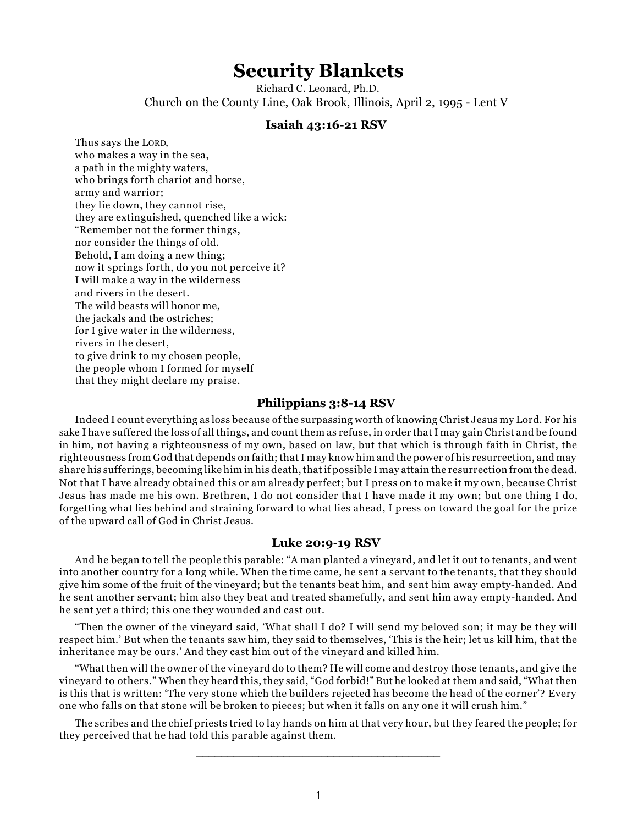# **Security Blankets**

Richard C. Leonard, Ph.D. Church on the County Line, Oak Brook, Illinois, April 2, 1995 - Lent V

# **Isaiah 43:16-21 RSV**

Thus says the LORD, who makes a way in the sea, a path in the mighty waters, who brings forth chariot and horse, army and warrior; they lie down, they cannot rise, they are extinguished, quenched like a wick: "Remember not the former things, nor consider the things of old. Behold, I am doing a new thing; now it springs forth, do you not perceive it? I will make a way in the wilderness and rivers in the desert. The wild beasts will honor me, the jackals and the ostriches; for I give water in the wilderness, rivers in the desert, to give drink to my chosen people, the people whom I formed for myself that they might declare my praise.

### **Philippians 3:8-14 RSV**

Indeed I count everything as loss because of the surpassing worth of knowing Christ Jesus my Lord. For his sake I have suffered the loss of all things, and count them as refuse, in order that I may gain Christ and be found in him, not having a righteousness of my own, based on law, but that which is through faith in Christ, the righteousness from God that depends on faith; that I may know him and the power of his resurrection, and may share his sufferings, becoming like him in his death, that if possible I may attain the resurrection from the dead. Not that I have already obtained this or am already perfect; but I press on to make it my own, because Christ Jesus has made me his own. Brethren, I do not consider that I have made it my own; but one thing I do, forgetting what lies behind and straining forward to what lies ahead, I press on toward the goal for the prize of the upward call of God in Christ Jesus.

#### **Luke 20:9-19 RSV**

And he began to tell the people this parable: "A man planted a vineyard, and let it out to tenants, and went into another country for a long while. When the time came, he sent a servant to the tenants, that they should give him some of the fruit of the vineyard; but the tenants beat him, and sent him away empty-handed. And he sent another servant; him also they beat and treated shamefully, and sent him away empty-handed. And he sent yet a third; this one they wounded and cast out.

"Then the owner of the vineyard said, 'What shall I do? I will send my beloved son; it may be they will respect him.' But when the tenants saw him, they said to themselves, 'This is the heir; let us kill him, that the inheritance may be ours.' And they cast him out of the vineyard and killed him.

"What then will the owner of the vineyard do to them? He will come and destroy those tenants, and give the vineyard to others." When they heard this, they said, "God forbid!" But he looked at them and said, "What then is this that is written: 'The very stone which the builders rejected has become the head of the corner'? Every one who falls on that stone will be broken to pieces; but when it falls on any one it will crush him."

The scribes and the chief priests tried to lay hands on him at that very hour, but they feared the people; for they perceived that he had told this parable against them.

\_\_\_\_\_\_\_\_\_\_\_\_\_\_\_\_\_\_\_\_\_\_\_\_\_\_\_\_\_\_\_\_\_\_\_\_\_\_\_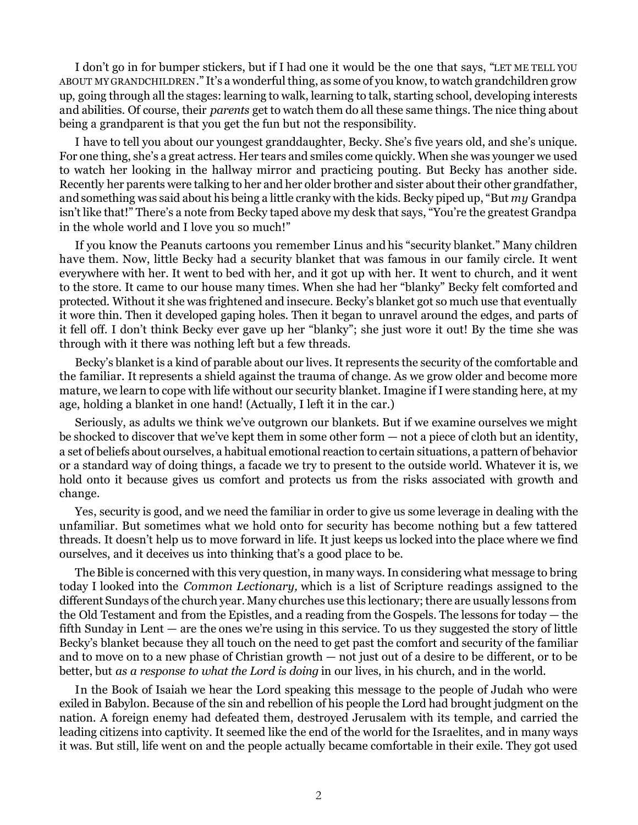I don't go in for bumper stickers, but if I had one it would be the one that says, "LET ME TELL YOU ABOUT MY GRANDCHILDREN." It's a wonderful thing, as some of you know, to watch grandchildren grow up, going through all the stages: learning to walk, learning to talk, starting school, developing interests and abilities. Of course, their *parents* get to watch them do all these same things. The nice thing about being a grandparent is that you get the fun but not the responsibility.

I have to tell you about our youngest granddaughter, Becky. She's five years old, and she's unique. For one thing, she's a great actress. Her tears and smiles come quickly. When she was younger we used to watch her looking in the hallway mirror and practicing pouting. But Becky has another side. Recently her parents were talking to her and her older brother and sister about their other grandfather, and something was said about his being a little cranky with the kids. Becky piped up, "But *my* Grandpa isn't like that!" There's a note from Becky taped above my desk that says, "You're the greatest Grandpa in the whole world and I love you so much!"

If you know the Peanuts cartoons you remember Linus and his "security blanket." Many children have them. Now, little Becky had a security blanket that was famous in our family circle. It went everywhere with her. It went to bed with her, and it got up with her. It went to church, and it went to the store. It came to our house many times. When she had her "blanky" Becky felt comforted and protected. Without it she was frightened and insecure. Becky's blanket got so much use that eventually it wore thin. Then it developed gaping holes. Then it began to unravel around the edges, and parts of it fell off. I don't think Becky ever gave up her "blanky"; she just wore it out! By the time she was through with it there was nothing left but a few threads.

Becky's blanket is a kind of parable about our lives. It represents the security of the comfortable and the familiar. It represents a shield against the trauma of change. As we grow older and become more mature, we learn to cope with life without our security blanket. Imagine if I were standing here, at my age, holding a blanket in one hand! (Actually, I left it in the car.)

Seriously, as adults we think we've outgrown our blankets. But if we examine ourselves we might be shocked to discover that we've kept them in some other form — not a piece of cloth but an identity, a set of beliefs about ourselves, a habitual emotional reaction to certain situations, a pattern of behavior or a standard way of doing things, a facade we try to present to the outside world. Whatever it is, we hold onto it because gives us comfort and protects us from the risks associated with growth and change.

Yes, security is good, and we need the familiar in order to give us some leverage in dealing with the unfamiliar. But sometimes what we hold onto for security has become nothing but a few tattered threads. It doesn't help us to move forward in life. It just keeps us locked into the place where we find ourselves, and it deceives us into thinking that's a good place to be.

The Bible is concerned with this very question, in many ways. In considering what message to bring today I looked into the *Common Lectionary,* which is a list of Scripture readings assigned to the different Sundays of the church year. Many churches use this lectionary; there are usually lessons from the Old Testament and from the Epistles, and a reading from the Gospels. The lessons for today — the fifth Sunday in Lent — are the ones we're using in this service. To us they suggested the story of little Becky's blanket because they all touch on the need to get past the comfort and security of the familiar and to move on to a new phase of Christian growth — not just out of a desire to be different, or to be better, but *as a response to what the Lord is doing* in our lives, in his church, and in the world.

In the Book of Isaiah we hear the Lord speaking this message to the people of Judah who were exiled in Babylon. Because of the sin and rebellion of his people the Lord had brought judgment on the nation. A foreign enemy had defeated them, destroyed Jerusalem with its temple, and carried the leading citizens into captivity. It seemed like the end of the world for the Israelites, and in many ways it was. But still, life went on and the people actually became comfortable in their exile. They got used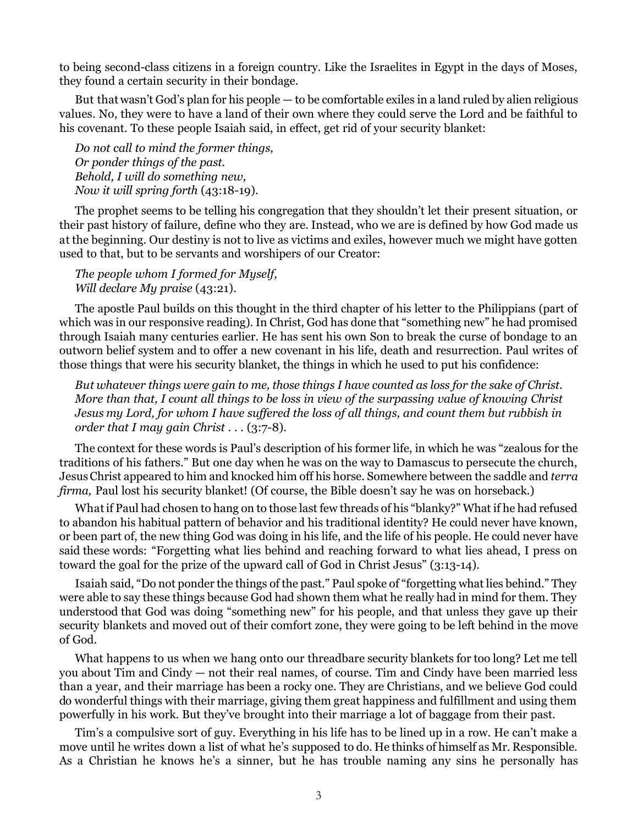to being second-class citizens in a foreign country. Like the Israelites in Egypt in the days of Moses, they found a certain security in their bondage.

But that wasn't God's plan for his people — to be comfortable exiles in a land ruled by alien religious values. No, they were to have a land of their own where they could serve the Lord and be faithful to his covenant. To these people Isaiah said, in effect, get rid of your security blanket:

*Do not call to mind the former things, Or ponder things of the past. Behold, I will do something new, Now it will spring forth* (43:18-19).

The prophet seems to be telling his congregation that they shouldn't let their present situation, or their past history of failure, define who they are. Instead, who we are is defined by how God made us at the beginning. Our destiny is not to live as victims and exiles, however much we might have gotten used to that, but to be servants and worshipers of our Creator:

*The people whom I formed for Myself, Will declare My praise* (43:21).

The apostle Paul builds on this thought in the third chapter of his letter to the Philippians (part of which was in our responsive reading). In Christ, God has done that "something new" he had promised through Isaiah many centuries earlier. He has sent his own Son to break the curse of bondage to an outworn belief system and to offer a new covenant in his life, death and resurrection. Paul writes of those things that were his security blanket, the things in which he used to put his confidence:

*But whatever things were gain to me, those things I have counted as loss for the sake of Christ. More than that, I count all things to be loss in view of the surpassing value of knowing Christ Jesus my Lord, for whom I have suffered the loss of all things, and count them but rubbish in order that I may gain Christ . . . (3:7-8).* 

The context for these words is Paul's description of his former life, in which he was "zealous for the traditions of his fathers." But one day when he was on the way to Damascus to persecute the church, Jesus Christ appeared to him and knocked him off his horse. Somewhere between the saddle and *terra firma,* Paul lost his security blanket! (Of course, the Bible doesn't say he was on horseback.)

What if Paul had chosen to hang on to those last few threads of his "blanky?" What if he had refused to abandon his habitual pattern of behavior and his traditional identity? He could never have known, or been part of, the new thing God was doing in his life, and the life of his people. He could never have said these words: "Forgetting what lies behind and reaching forward to what lies ahead, I press on toward the goal for the prize of the upward call of God in Christ Jesus" (3:13-14).

Isaiah said, "Do not ponder the things of the past." Paul spoke of "forgetting what lies behind." They were able to say these things because God had shown them what he really had in mind for them. They understood that God was doing "something new" for his people, and that unless they gave up their security blankets and moved out of their comfort zone, they were going to be left behind in the move of God.

What happens to us when we hang onto our threadbare security blankets for too long? Let me tell you about Tim and Cindy — not their real names, of course. Tim and Cindy have been married less than a year, and their marriage has been a rocky one. They are Christians, and we believe God could do wonderful things with their marriage, giving them great happiness and fulfillment and using them powerfully in his work. But they've brought into their marriage a lot of baggage from their past.

Tim's a compulsive sort of guy. Everything in his life has to be lined up in a row. He can't make a move until he writes down a list of what he's supposed to do. He thinks of himself as Mr. Responsible. As a Christian he knows he's a sinner, but he has trouble naming any sins he personally has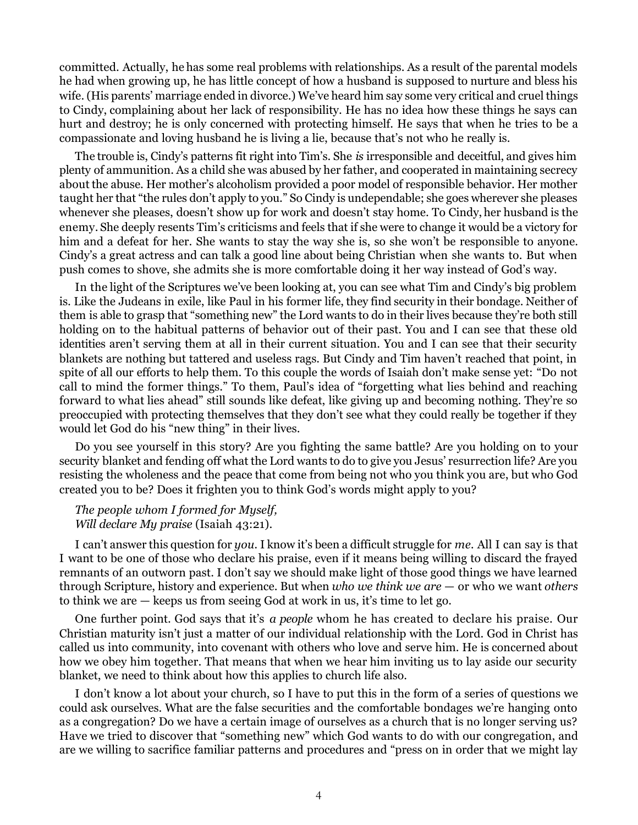committed. Actually, he has some real problems with relationships. As a result of the parental models he had when growing up, he has little concept of how a husband is supposed to nurture and bless his wife. (His parents' marriage ended in divorce.) We've heard him say some very critical and cruel things to Cindy, complaining about her lack of responsibility. He has no idea how these things he says can hurt and destroy; he is only concerned with protecting himself. He says that when he tries to be a compassionate and loving husband he is living a lie, because that's not who he really is.

The trouble is, Cindy's patterns fit right into Tim's. She *is* irresponsible and deceitful, and gives him plenty of ammunition. As a child she was abused by her father, and cooperated in maintaining secrecy about the abuse. Her mother's alcoholism provided a poor model of responsible behavior. Her mother taught her that "the rules don't apply to you." So Cindy is undependable; she goes wherever she pleases whenever she pleases, doesn't show up for work and doesn't stay home. To Cindy, her husband is the enemy. She deeply resents Tim's criticisms and feels that if she were to change it would be a victory for him and a defeat for her. She wants to stay the way she is, so she won't be responsible to anyone. Cindy's a great actress and can talk a good line about being Christian when she wants to. But when push comes to shove, she admits she is more comfortable doing it her way instead of God's way.

In the light of the Scriptures we've been looking at, you can see what Tim and Cindy's big problem is. Like the Judeans in exile, like Paul in his former life, they find security in their bondage. Neither of them is able to grasp that "something new" the Lord wants to do in their lives because they're both still holding on to the habitual patterns of behavior out of their past. You and I can see that these old identities aren't serving them at all in their current situation. You and I can see that their security blankets are nothing but tattered and useless rags. But Cindy and Tim haven't reached that point, in spite of all our efforts to help them. To this couple the words of Isaiah don't make sense yet: "Do not call to mind the former things." To them, Paul's idea of "forgetting what lies behind and reaching forward to what lies ahead" still sounds like defeat, like giving up and becoming nothing. They're so preoccupied with protecting themselves that they don't see what they could really be together if they would let God do his "new thing" in their lives.

Do you see yourself in this story? Are you fighting the same battle? Are you holding on to your security blanket and fending off what the Lord wants to do to give you Jesus' resurrection life? Are you resisting the wholeness and the peace that come from being not who you think you are, but who God created you to be? Does it frighten you to think God's words might apply to you?

## *The people whom I formed for Myself, Will declare My praise* (Isaiah 43:21).

I can't answer this question for *you.* I know it's been a difficult struggle for *me.* All I can say is that I want to be one of those who declare his praise, even if it means being willing to discard the frayed remnants of an outworn past. I don't say we should make light of those good things we have learned through Scripture, history and experience. But when *who we think we are* — or who we want *others* to think we are — keeps us from seeing God at work in us, it's time to let go.

One further point. God says that it's *a people* whom he has created to declare his praise. Our Christian maturity isn't just a matter of our individual relationship with the Lord. God in Christ has called us into community, into covenant with others who love and serve him. He is concerned about how we obey him together. That means that when we hear him inviting us to lay aside our security blanket, we need to think about how this applies to church life also.

I don't know a lot about your church, so I have to put this in the form of a series of questions we could ask ourselves. What are the false securities and the comfortable bondages we're hanging onto as a congregation? Do we have a certain image of ourselves as a church that is no longer serving us? Have we tried to discover that "something new" which God wants to do with our congregation, and are we willing to sacrifice familiar patterns and procedures and "press on in order that we might lay